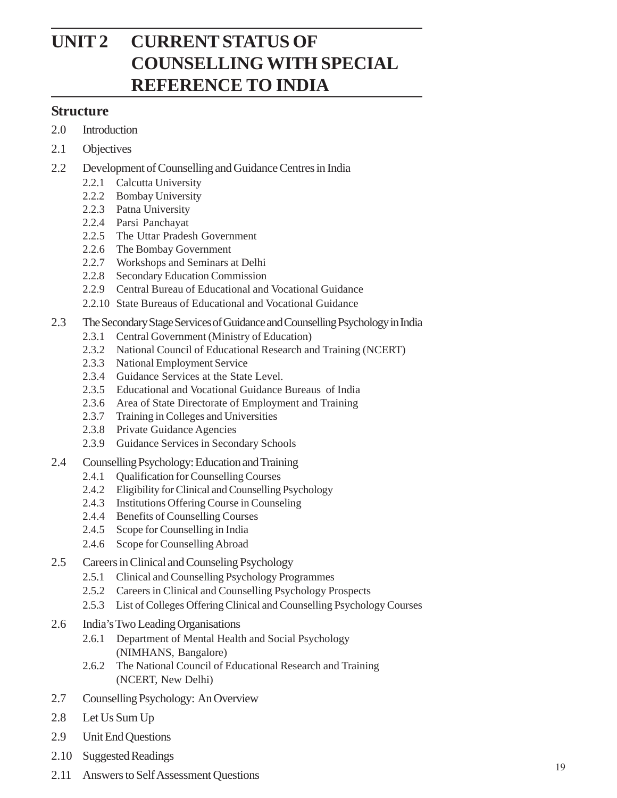# **UNIT 2 CURRENT STATUS OF COUNSELLING WITH SPECIAL REFERENCE TO INDIA**

#### **Structure**

- 2.0 Introduction
- 2.1 Objectives
- 2.2 Development of Counselling and Guidance Centres in India
	- 2.2.1 Calcutta University
	- 2.2.2 Bombay University
	- 2.2.3 Patna University
	- 2.2.4 Parsi Panchayat
	- 2.2.5 The Uttar Pradesh Government
	- 2.2.6 The Bombay Government
	- 2.2.7 Workshops and Seminars at Delhi
	- 2.2.8 Secondary Education Commission
	- 2.2.9 Central Bureau of Educational and Vocational Guidance
	- 2.2.10 State Bureaus of Educational and Vocational Guidance
- 2.3 The Secondary Stage Services of Guidance and Counselling Psychology in India
	- 2.3.1 Central Government (Ministry of Education)
	- 2.3.2 National Council of Educational Research and Training (NCERT)
	- 2.3.3 National Employment Service
	- 2.3.4 Guidance Services at the State Level.
	- 2.3.5 Educational and Vocational Guidance Bureaus of India
	- 2.3.6 Area of State Directorate of Employment and Training
	- 2.3.7 Training in Colleges and Universities
	- 2.3.8 Private Guidance Agencies
	- 2.3.9 Guidance Services in Secondary Schools
- 2.4 Counselling Psychology: Education and Training
	- 2.4.1 Qualification for Counselling Courses
	- 2.4.2 Eligibility for Clinical and Counselling Psychology
	- 2.4.3 Institutions Offering Course in Counseling
	- 2.4.4 Benefits of Counselling Courses
	- 2.4.5 Scope for Counselling in India
	- 2.4.6 Scope for Counselling Abroad
- 2.5 Careers in Clinical and Counseling Psychology
	- 2.5.1 Clinical and Counselling Psychology Programmes
	- 2.5.2 Careers in Clinical and Counselling Psychology Prospects
	- 2.5.3 List of Colleges Offering Clinical and Counselling Psychology Courses
- 2.6 India's Two Leading Organisations
	- 2.6.1 Department of Mental Health and Social Psychology (NIMHANS, Bangalore)
	- 2.6.2 The National Council of Educational Research and Training (NCERT, New Delhi)
- 2.7 Counselling Psychology: An Overview
- 2.8 Let Us Sum Up
- 2.9 Unit End Questions
- 2.10 Suggested Readings
- 2.11 Answers to Self Assessment Questions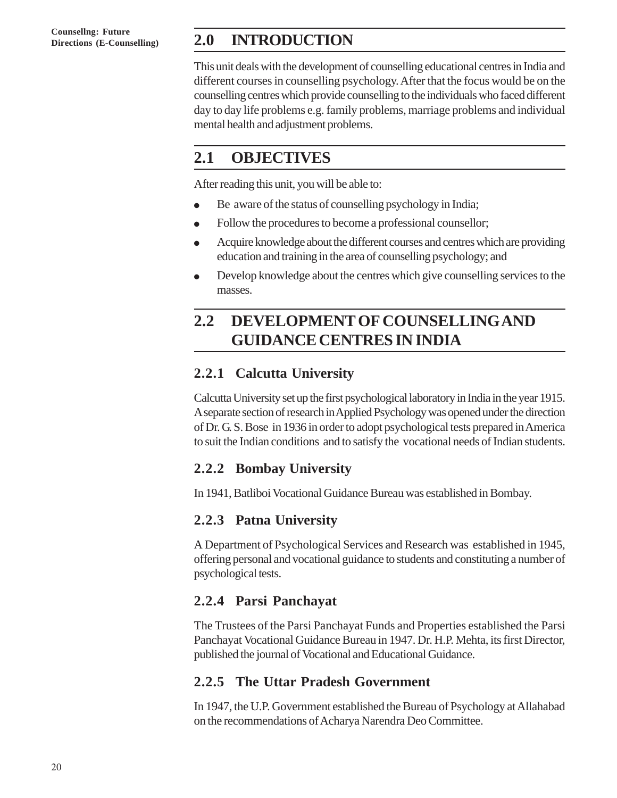**Counsellng: Future**

## **Directions (E-Counselling) 2.0 INTRODUCTION**

This unit deals with the development of counselling educational centres in India and different courses in counselling psychology. After that the focus would be on the counselling centres which provide counselling to the individuals who faced different day to day life problems e.g. family problems, marriage problems and individual mental health and adjustment problems.

## **2.1 OBJECTIVES**

After reading this unit, you will be able to:

- Be aware of the status of counselling psychology in India;
- Follow the procedures to become a professional counsellor;
- Acquire knowledge about the different courses and centres which are providing education and training in the area of counselling psychology; and
- Develop knowledge about the centres which give counselling services to the masses.

# **2.2 DEVELOPMENT OF COUNSELLING AND GUIDANCE CENTRES IN INDIA**

## **2.2.1 Calcutta University**

Calcutta University set up the first psychological laboratory in India in the year 1915. A separate section of research in Applied Psychology was opened under the direction of Dr. G. S. Bose in 1936 in order to adopt psychological tests prepared in America to suit the Indian conditions and to satisfy the vocational needs of Indian students.

## **2.2.2 Bombay University**

In 1941, Batliboi Vocational Guidance Bureau was established in Bombay.

## **2.2.3 Patna University**

A Department of Psychological Services and Research was established in 1945, offering personal and vocational guidance to students and constituting a number of psychological tests.

## **2.2.4 Parsi Panchayat**

The Trustees of the Parsi Panchayat Funds and Properties established the Parsi Panchayat Vocational Guidance Bureau in 1947. Dr. H.P. Mehta, its first Director, published the journal of Vocational and Educational Guidance.

## **2.2.5 The Uttar Pradesh Government**

In 1947, the U.P. Government established the Bureau of Psychology at Allahabad on the recommendations of Acharya Narendra Deo Committee.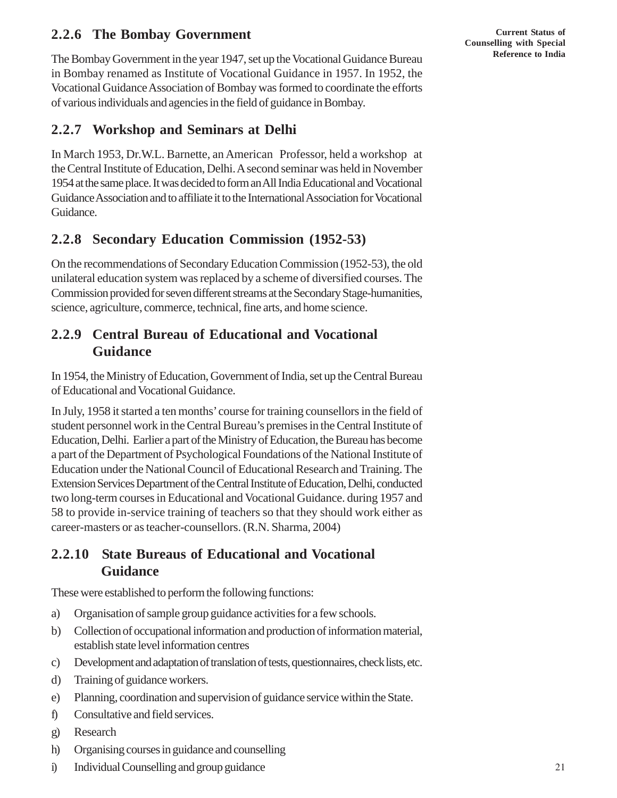### **2.2.6 The Bombay Government**

The Bombay Government in the year 1947, set up the Vocational Guidance Bureau in Bombay renamed as Institute of Vocational Guidance in 1957. In 1952, the Vocational Guidance Association of Bombay was formed to coordinate the efforts of various individuals and agencies in the field of guidance in Bombay.

### **2.2.7 Workshop and Seminars at Delhi**

In March 1953, Dr.W.L. Barnette, an American Professor, held a workshop at the Central Institute of Education, Delhi. A second seminar was held in November 1954 at the same place. It was decided to form an All India Educational and Vocational Guidance Association and to affiliate it to the International Association for Vocational Guidance.

### **2.2.8 Secondary Education Commission (1952-53)**

On the recommendations of Secondary Education Commission (1952-53), the old unilateral education system was replaced by a scheme of diversified courses. The Commission provided for seven different streams at the Secondary Stage-humanities, science, agriculture, commerce, technical, fine arts, and home science.

### **2.2.9 Central Bureau of Educational and Vocational Guidance**

In 1954, the Ministry of Education, Government of India, set up the Central Bureau of Educational and Vocational Guidance.

In July, 1958 it started a ten months' course for training counsellors in the field of student personnel work in the Central Bureau's premises in the Central Institute of Education, Delhi. Earlier a part of the Ministry of Education, the Bureau has become a part of the Department of Psychological Foundations of the National Institute of Education under the National Council of Educational Research and Training. The Extension Services Department of the Central Institute of Education, Delhi, conducted two long-term courses in Educational and Vocational Guidance. during 1957 and 58 to provide in-service training of teachers so that they should work either as career-masters or as teacher-counsellors. (R.N. Sharma, 2004)

#### **2.2.10 State Bureaus of Educational and Vocational Guidance**

These were established to perform the following functions:

- a) Organisation of sample group guidance activities for a few schools.
- b) Collection of occupational information and production of information material, establish state level information centres
- c) Development and adaptation of translation of tests, questionnaires, check lists, etc.
- d) Training of guidance workers.
- e) Planning, coordination and supervision of guidance service within the State.
- f) Consultative and field services.
- g) Research
- h) Organising courses in guidance and counselling
- i) Individual Counselling and group guidance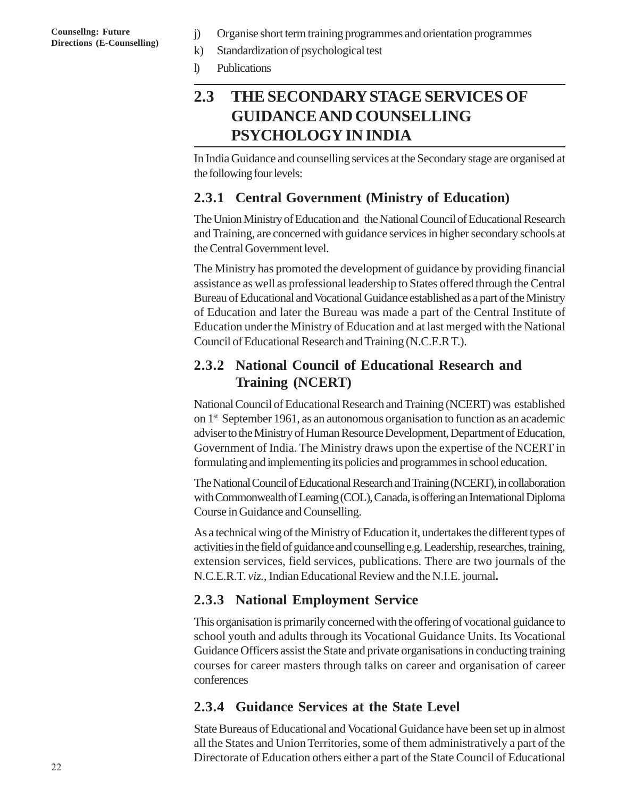- **Counsellng: Future** *j*) Organise short term training programmes and orientation programmes<br>Directions (E-Counselling) <br>k) Standardization of psychological test
	- Standardization of psychological test
	- l) Publications

## **2.3 THE SECONDARY STAGE SERVICES OF GUIDANCE AND COUNSELLING PSYCHOLOGY IN INDIA**

In India Guidance and counselling services at the Secondary stage are organised at the following four levels:

### **2.3.1 Central Government (Ministry of Education)**

The Union Ministry of Education and the National Council of Educational Research and Training, are concerned with guidance services in higher secondary schools at the Central Government level.

The Ministry has promoted the development of guidance by providing financial assistance as well as professional leadership to States offered through the Central Bureau of Educational and Vocational Guidance established as a part of the Ministry of Education and later the Bureau was made a part of the Central Institute of Education under the Ministry of Education and at last merged with the National Council of Educational Research and Training (N.C.E.R T.).

### **2.3.2 National Council of Educational Research and Training (NCERT)**

National Council of Educational Research and Training (NCERT) was established on 1st September 1961, as an autonomous organisation to function as an academic adviser to the Ministry of Human Resource Development, Department of Education, Government of India. The Ministry draws upon the expertise of the NCERT in formulating and implementing its policies and programmes in school education.

The National Council of Educational Research and Training (NCERT), in collaboration with Commonwealth of Learning (COL), Canada, is offering an International Diploma Course in Guidance and Counselling.

As a technical wing of the Ministry of Education it, undertakes the different types of activities in the field of guidance and counselling e.g. Leadership, researches, training, extension services, field services, publications. There are two journals of the N.C.E.R.T. *viz.,* Indian Educational Review and the N.I.E. journal**.**

#### **2.3.3 National Employment Service**

This organisation is primarily concerned with the offering of vocational guidance to school youth and adults through its Vocational Guidance Units. Its Vocational Guidance Officers assist the State and private organisations in conducting training courses for career masters through talks on career and organisation of career conferences

### **2.3.4 Guidance Services at the State Level**

State Bureaus of Educational and Vocational Guidance have been set up in almost all the States and Union Territories, some of them administratively a part of the Directorate of Education others either a part of the State Council of Educational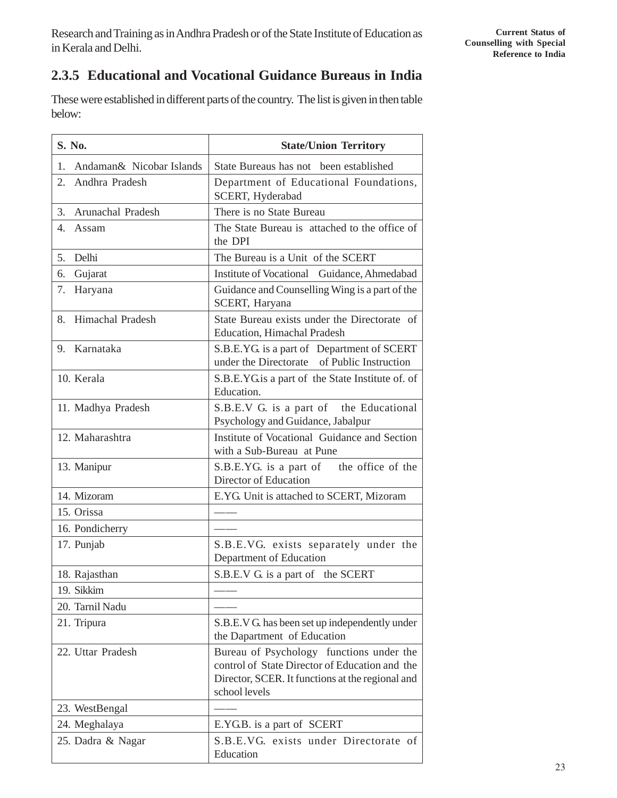## **2.3.5 Educational and Vocational Guidance Bureaus in India**

These were established in different parts of the country. The list is given in then table below:

| S. No.                         | <b>State/Union Territory</b>                                                                                                                                    |  |  |  |
|--------------------------------|-----------------------------------------------------------------------------------------------------------------------------------------------------------------|--|--|--|
| Andaman& Nicobar Islands<br>1. | State Bureaus has not been established                                                                                                                          |  |  |  |
| 2.<br>Andhra Pradesh           | Department of Educational Foundations,<br>SCERT, Hyderabad                                                                                                      |  |  |  |
| Arunachal Pradesh<br>3.        | There is no State Bureau                                                                                                                                        |  |  |  |
| 4.<br>Assam                    | The State Bureau is attached to the office of<br>the DPI                                                                                                        |  |  |  |
| 5.<br>Delhi                    | The Bureau is a Unit of the SCERT                                                                                                                               |  |  |  |
| 6.<br>Gujarat                  | Institute of Vocational Guidance, Ahmedabad                                                                                                                     |  |  |  |
| 7.<br>Haryana                  | Guidance and Counselling Wing is a part of the<br>SCERT, Haryana                                                                                                |  |  |  |
| Himachal Pradesh<br>8.         | State Bureau exists under the Directorate of<br><b>Education, Himachal Pradesh</b>                                                                              |  |  |  |
| Karnataka<br>9.                | S.B.E.YG. is a part of Department of SCERT<br>under the Directorate of Public Instruction                                                                       |  |  |  |
| 10. Kerala                     | S.B.E.YG is a part of the State Institute of. of<br>Education.                                                                                                  |  |  |  |
| 11. Madhya Pradesh             | S.B.E.V G. is a part of the Educational<br>Psychology and Guidance, Jabalpur                                                                                    |  |  |  |
| 12. Maharashtra                | Institute of Vocational Guidance and Section<br>with a Sub-Bureau at Pune                                                                                       |  |  |  |
| 13. Manipur                    | S.B.E.YG. is a part of the office of the<br>Director of Education                                                                                               |  |  |  |
| 14. Mizoram                    | E.YG. Unit is attached to SCERT, Mizoram                                                                                                                        |  |  |  |
| 15. Orissa                     |                                                                                                                                                                 |  |  |  |
| 16. Pondicherry                |                                                                                                                                                                 |  |  |  |
| 17. Punjab                     | S.B.E.VG. exists separately under the<br>Department of Education                                                                                                |  |  |  |
| 18. Rajasthan                  | S.B.E.V G. is a part of the SCERT                                                                                                                               |  |  |  |
| 19. Sikkim                     |                                                                                                                                                                 |  |  |  |
| 20. Tarnil Nadu                |                                                                                                                                                                 |  |  |  |
| 21. Tripura                    | S.B.E.V G. has been set up independently under<br>the Dapartment of Education                                                                                   |  |  |  |
| 22. Uttar Pradesh              | Bureau of Psychology functions under the<br>control of State Director of Education and the<br>Director, SCER. It functions at the regional and<br>school levels |  |  |  |
| 23. WestBengal                 |                                                                                                                                                                 |  |  |  |
| 24. Meghalaya                  | E.YG.B. is a part of SCERT                                                                                                                                      |  |  |  |
| 25. Dadra & Nagar              | S.B.E.VG. exists under Directorate of<br>Education                                                                                                              |  |  |  |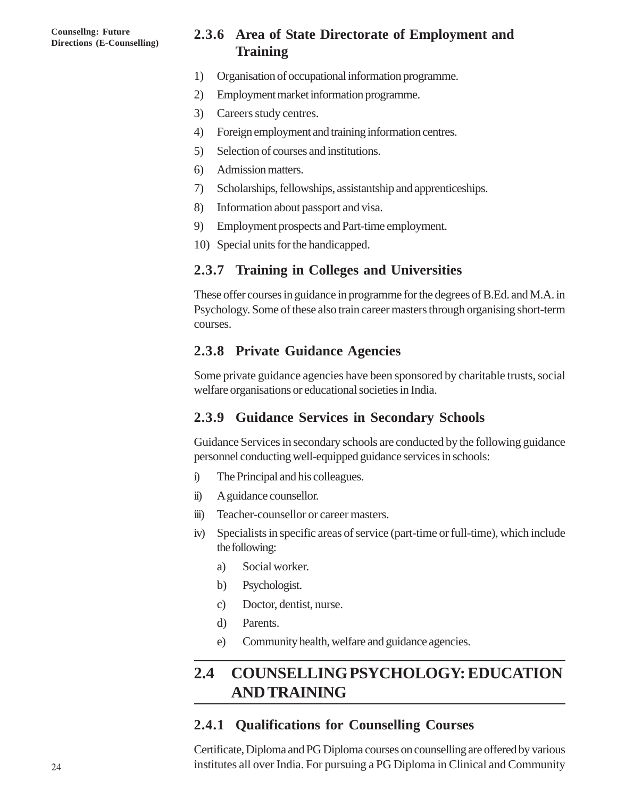### **2.3.6 Area of State Directorate of Employment and Training**

- 1) Organisation of occupational information programme.
- 2) Employment market information programme.
- 3) Careers study centres.
- 4) Foreign employment and training information centres.
- 5) Selection of courses and institutions.
- 6) Admission matters.
- 7) Scholarships, fellowships, assistantship and apprenticeships.
- 8) Information about passport and visa.
- 9) Employment prospects and Part-time employment.
- 10) Special units for the handicapped.

#### **2.3.7 Training in Colleges and Universities**

These offer courses in guidance in programme for the degrees of B.Ed. and M.A. in Psychology. Some of these also train career masters through organising short-term courses.

#### **2.3.8 Private Guidance Agencies**

Some private guidance agencies have been sponsored by charitable trusts, social welfare organisations or educational societies in India.

#### **2.3.9 Guidance Services in Secondary Schools**

Guidance Services in secondary schools are conducted by the following guidance personnel conducting well-equipped guidance services in schools:

- i) The Principal and his colleagues.
- ii) A guidance counsellor.
- iii) Teacher-counsellor or career masters.
- iv) Specialists in specific areas of service (part-time or full-time), which include the following:
	- a) Social worker.
	- b) Psychologist.
	- c) Doctor, dentist, nurse.
	- d) Parents.
	- e) Community health, welfare and guidance agencies.

## **2.4 COUNSELLING PSYCHOLOGY: EDUCATION AND TRAINING**

#### **2.4.1 Qualifications for Counselling Courses**

Certificate, Diploma and PG Diploma courses on counselling are offered by various institutes all over India. For pursuing a PG Diploma in Clinical and Community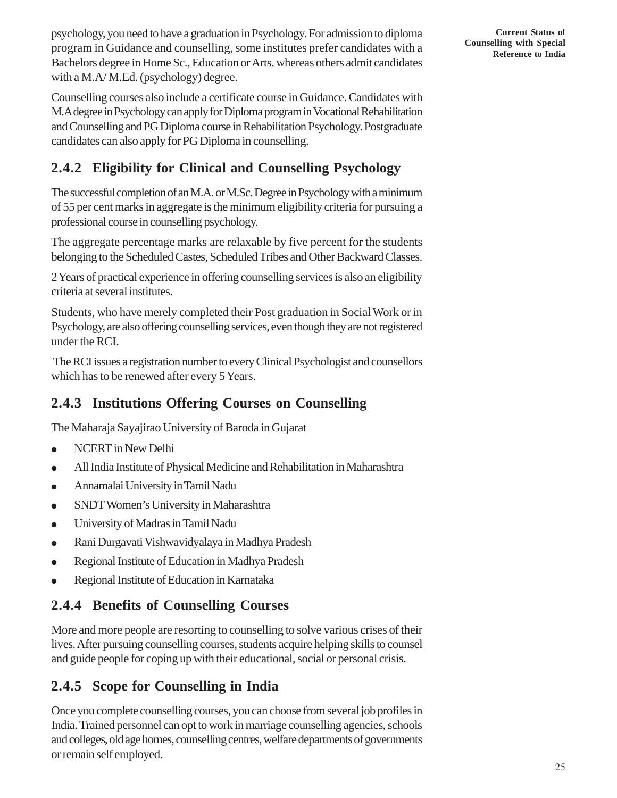psychology, you need to have a graduation in Psychology. For admission to diploma program in Guidance and counselling, some institutes prefer candidates with a Bachelors degree in Home Sc., Education or Arts, whereas others admit candidates with a M.A/ M.Ed. (psychology) degree.

Counselling courses also include a certificate course in Guidance. Candidates with M.A degree in Psychology can apply for Diploma program in Vocational Rehabilitation and Counselling and PG Diploma course in Rehabilitation Psychology. Postgraduate candidates can also apply for PG Diploma in counselling.

## **2.4.2 Eligibility for Clinical and Counselling Psychology**

The successful completion of an M.A. or M.Sc. Degree in Psychology with a minimum of 55 per cent marks in aggregate is the minimum eligibility criteria for pursuing a professional course in counselling psychology.

The aggregate percentage marks are relaxable by five percent for the students belonging to the Scheduled Castes, Scheduled Tribes and Other Backward Classes.

2 Years of practical experience in offering counselling services is also an eligibility criteria at several institutes.

Students, who have merely completed their Post graduation in Social Work or in Psychology, are also offering counselling services, even though they are not registered under the RCI.

 The RCI issues a registration number to every Clinical Psychologist and counsellors which has to be renewed after every 5 Years.

## **2.4.3 Institutions Offering Courses on Counselling**

The Maharaja Sayajirao University of Baroda in Gujarat

- NCERT in New Delhi
- All India Institute of Physical Medicine and Rehabilitation in Maharashtra
- Annamalai University in Tamil Nadu
- SNDT Women's University in Maharashtra
- University of Madras in Tamil Nadu
- Rani Durgavati Vishwavidyalaya in Madhya Pradesh
- Regional Institute of Education in Madhya Pradesh
- Regional Institute of Education in Karnataka

## **2.4.4 Benefits of Counselling Courses**

More and more people are resorting to counselling to solve various crises of their lives. After pursuing counselling courses, students acquire helping skills to counsel and guide people for coping up with their educational, social or personal crisis.

## **2.4.5 Scope for Counselling in India**

Once you complete counselling courses, you can choose from several job profiles in India. Trained personnel can opt to work in marriage counselling agencies, schools and colleges, old age homes, counselling centres, welfare departments of governments or remain self employed.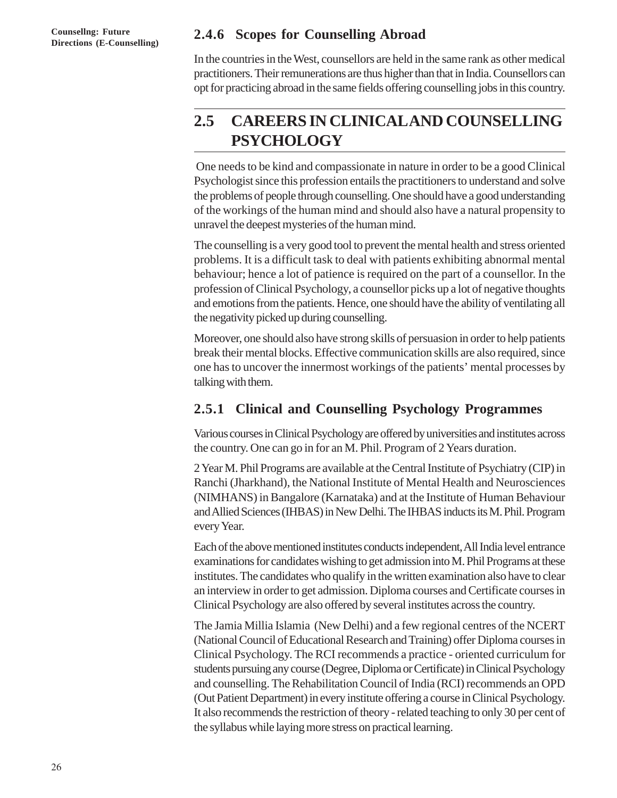### **2.4.6 Scopes for Counselling Abroad**

In the countries in the West, counsellors are held in the same rank as other medical practitioners. Their remunerations are thus higher than that in India. Counsellors can opt for practicing abroad in the same fields offering counselling jobs in this country.

## **2.5 CAREERS IN CLINICAL AND COUNSELLING PSYCHOLOGY**

 One needs to be kind and compassionate in nature in order to be a good Clinical Psychologist since this profession entails the practitioners to understand and solve the problems of people through counselling. One should have a good understanding of the workings of the human mind and should also have a natural propensity to unravel the deepest mysteries of the human mind.

The counselling is a very good tool to prevent the mental health and stress oriented problems. It is a difficult task to deal with patients exhibiting abnormal mental behaviour; hence a lot of patience is required on the part of a counsellor. In the profession of Clinical Psychology, a counsellor picks up a lot of negative thoughts and emotions from the patients. Hence, one should have the ability of ventilating all the negativity picked up during counselling.

Moreover, one should also have strong skills of persuasion in order to help patients break their mental blocks. Effective communication skills are also required, since one has to uncover the innermost workings of the patients' mental processes by talking with them.

## **2.5.1 Clinical and Counselling Psychology Programmes**

Various courses in Clinical Psychology are offered by universities and institutes across the country. One can go in for an M. Phil. Program of 2 Years duration.

2 Year M. Phil Programs are available at the Central Institute of Psychiatry (CIP) in Ranchi (Jharkhand), the National Institute of Mental Health and Neurosciences (NIMHANS) in Bangalore (Karnataka) and at the Institute of Human Behaviour and Allied Sciences (IHBAS) in New Delhi. The IHBAS inducts its M. Phil. Program every Year.

Each of the above mentioned institutes conducts independent, All India level entrance examinations for candidates wishing to get admission into M. Phil Programs at these institutes. The candidates who qualify in the written examination also have to clear an interview in order to get admission. Diploma courses and Certificate courses in Clinical Psychology are also offered by several institutes across the country.

The Jamia Millia Islamia (New Delhi) and a few regional centres of the NCERT (National Council of Educational Research and Training) offer Diploma courses in Clinical Psychology. The RCI recommends a practice - oriented curriculum for students pursuing any course (Degree, Diploma or Certificate) in Clinical Psychology and counselling. The Rehabilitation Council of India (RCI) recommends an OPD (Out Patient Department) in every institute offering a course in Clinical Psychology. It also recommends the restriction of theory - related teaching to only 30 per cent of the syllabus while laying more stress on practical learning.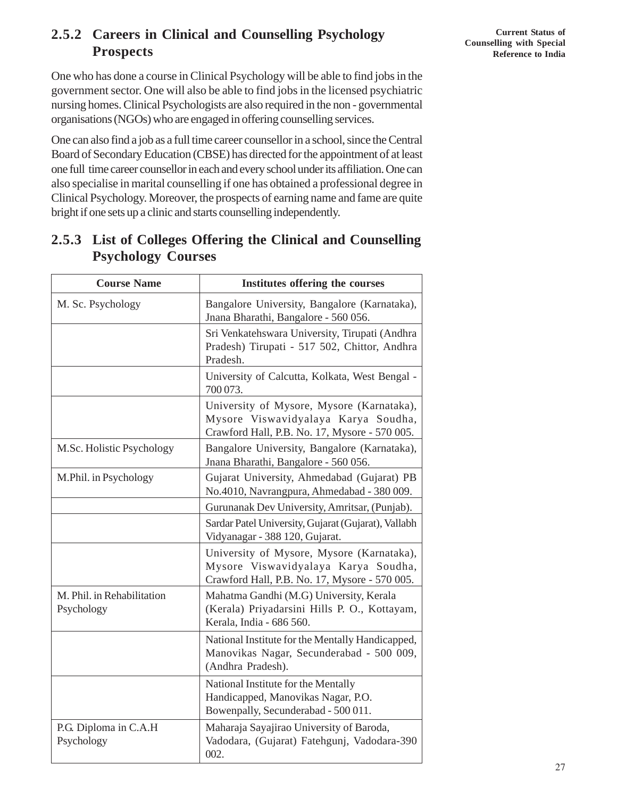### **2.5.2 Careers in Clinical and Counselling Psychology Prospects**

One who has done a course in Clinical Psychology will be able to find jobs in the government sector. One will also be able to find jobs in the licensed psychiatric nursing homes. Clinical Psychologists are also required in the non - governmental organisations (NGOs) who are engaged in offering counselling services.

One can also find a job as a full time career counsellor in a school, since the Central Board of Secondary Education (CBSE) has directed for the appointment of at least one full time career counsellor in each and every school under its affiliation. One can also specialise in marital counselling if one has obtained a professional degree in Clinical Psychology. Moreover, the prospects of earning name and fame are quite bright if one sets up a clinic and starts counselling independently.

| <b>Course Name</b>                       | Institutes offering the courses                                                                                                   |  |  |
|------------------------------------------|-----------------------------------------------------------------------------------------------------------------------------------|--|--|
| M. Sc. Psychology                        | Bangalore University, Bangalore (Karnataka),<br>Jnana Bharathi, Bangalore - 560 056.                                              |  |  |
|                                          | Sri Venkatehswara University, Tirupati (Andhra<br>Pradesh) Tirupati - 517 502, Chittor, Andhra<br>Pradesh.                        |  |  |
|                                          | University of Calcutta, Kolkata, West Bengal -<br>700 073.                                                                        |  |  |
|                                          | University of Mysore, Mysore (Karnataka),<br>Mysore Viswavidyalaya Karya Soudha,<br>Crawford Hall, P.B. No. 17, Mysore - 570 005. |  |  |
| M.Sc. Holistic Psychology                | Bangalore University, Bangalore (Karnataka),<br>Jnana Bharathi, Bangalore - 560 056.                                              |  |  |
| M.Phil. in Psychology                    | Gujarat University, Ahmedabad (Gujarat) PB<br>No.4010, Navrangpura, Ahmedabad - 380 009.                                          |  |  |
|                                          | Gurunanak Dev University, Amritsar, (Punjab).                                                                                     |  |  |
|                                          | Sardar Patel University, Gujarat (Gujarat), Vallabh<br>Vidyanagar - 388 120, Gujarat.                                             |  |  |
|                                          | University of Mysore, Mysore (Karnataka),<br>Mysore Viswavidyalaya Karya Soudha,<br>Crawford Hall, P.B. No. 17, Mysore - 570 005. |  |  |
| M. Phil. in Rehabilitation<br>Psychology | Mahatma Gandhi (M.G) University, Kerala<br>(Kerala) Priyadarsini Hills P. O., Kottayam,<br>Kerala, India - 686 560.               |  |  |
|                                          | National Institute for the Mentally Handicapped,<br>Manovikas Nagar, Secunderabad - 500 009,<br>(Andhra Pradesh).                 |  |  |
|                                          | National Institute for the Mentally<br>Handicapped, Manovikas Nagar, P.O.<br>Bowenpally, Secunderabad - 500 011.                  |  |  |
| P.G. Diploma in C.A.H<br>Psychology      | Maharaja Sayajirao University of Baroda,<br>Vadodara, (Gujarat) Fatehgunj, Vadodara-390<br>002.                                   |  |  |

## **2.5.3 List of Colleges Offering the Clinical and Counselling Psychology Courses**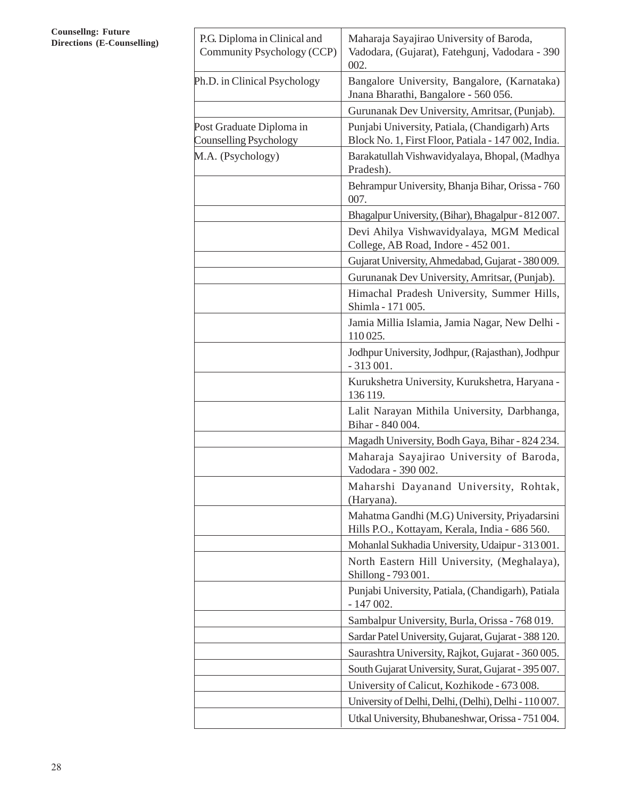#### **Counsellng: Future Directions (E-Counselling)**

| P.G. Diploma in Clinical and<br>Community Psychology (CCP) | Maharaja Sayajirao University of Baroda,<br>Vadodara, (Gujarat), Fatehgunj, Vadodara - 390<br>002.    |  |  |  |
|------------------------------------------------------------|-------------------------------------------------------------------------------------------------------|--|--|--|
| Ph.D. in Clinical Psychology                               | Bangalore University, Bangalore, (Karnataka)<br>Jnana Bharathi, Bangalore - 560 056.                  |  |  |  |
|                                                            | Gurunanak Dev University, Amritsar, (Punjab).                                                         |  |  |  |
| Post Graduate Diploma in<br><b>Counselling Psychology</b>  | Punjabi University, Patiala, (Chandigarh) Arts<br>Block No. 1, First Floor, Patiala - 147 002, India. |  |  |  |
| M.A. (Psychology)                                          | Barakatullah Vishwavidyalaya, Bhopal, (Madhya<br>Pradesh).                                            |  |  |  |
|                                                            | Behrampur University, Bhanja Bihar, Orissa - 760<br>007.                                              |  |  |  |
|                                                            | Bhagalpur University, (Bihar), Bhagalpur - 812 007.                                                   |  |  |  |
|                                                            | Devi Ahilya Vishwavidyalaya, MGM Medical<br>College, AB Road, Indore - 452 001.                       |  |  |  |
|                                                            | Gujarat University, Ahmedabad, Gujarat - 380 009.                                                     |  |  |  |
|                                                            | Gurunanak Dev University, Amritsar, (Punjab).                                                         |  |  |  |
|                                                            | Himachal Pradesh University, Summer Hills,<br>Shimla - 171 005.                                       |  |  |  |
|                                                            | Jamia Millia Islamia, Jamia Nagar, New Delhi -<br>110025.                                             |  |  |  |
|                                                            | Jodhpur University, Jodhpur, (Rajasthan), Jodhpur<br>$-313001.$                                       |  |  |  |
|                                                            | Kurukshetra University, Kurukshetra, Haryana -<br>136 119.                                            |  |  |  |
|                                                            | Lalit Narayan Mithila University, Darbhanga,<br>Bihar - 840 004.                                      |  |  |  |
|                                                            | Magadh University, Bodh Gaya, Bihar - 824 234.                                                        |  |  |  |
|                                                            | Maharaja Sayajirao University of Baroda,<br>Vadodara - 390 002.                                       |  |  |  |
|                                                            | Maharshi Dayanand University, Rohtak,<br>(Haryana).                                                   |  |  |  |
|                                                            | Mahatma Gandhi (M.G) University, Priyadarsini<br>Hills P.O., Kottayam, Kerala, India - 686 560.       |  |  |  |
|                                                            | Mohanlal Sukhadia University, Udaipur - 313 001.                                                      |  |  |  |
|                                                            | North Eastern Hill University, (Meghalaya),<br>Shillong - 793 001.                                    |  |  |  |
|                                                            | Punjabi University, Patiala, (Chandigarh), Patiala<br>$-147002.$                                      |  |  |  |
|                                                            | Sambalpur University, Burla, Orissa - 768 019.                                                        |  |  |  |
|                                                            | Sardar Patel University, Gujarat, Gujarat - 388 120.                                                  |  |  |  |
|                                                            | Saurashtra University, Rajkot, Gujarat - 360 005.                                                     |  |  |  |
|                                                            | South Gujarat University, Surat, Gujarat - 395 007.                                                   |  |  |  |
|                                                            | University of Calicut, Kozhikode - 673 008.                                                           |  |  |  |
|                                                            | University of Delhi, Delhi, (Delhi), Delhi - 110 007.                                                 |  |  |  |
|                                                            | Utkal University, Bhubaneshwar, Orissa - 751 004.                                                     |  |  |  |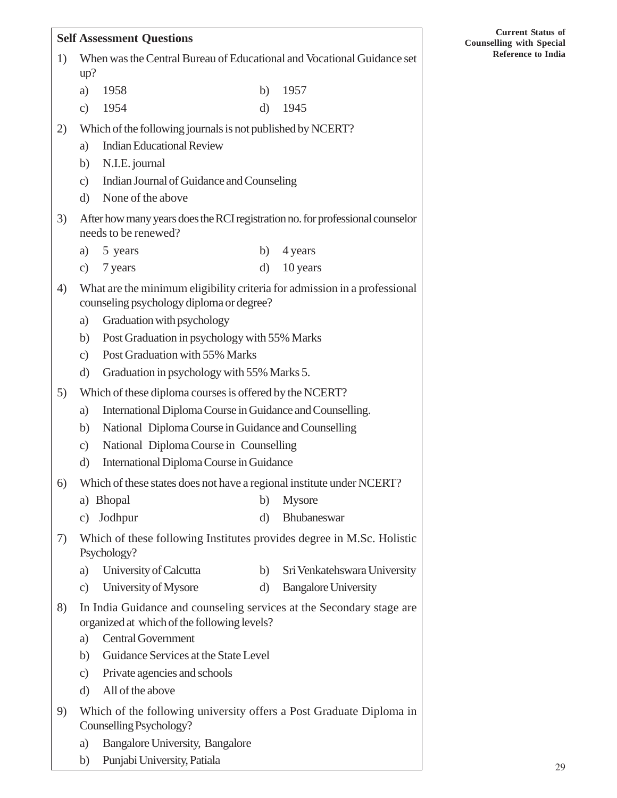#### **Self Assessment Questions**

| 1) | When was the Central Bureau of Educational and Vocational Guidance set |
|----|------------------------------------------------------------------------|
|    | up?                                                                    |

| a) 1958 |  | b) 1957 |
|---------|--|---------|
|         |  |         |

- c) 1954 d) 1945
- 2) Which of the following journals is not published by NCERT?
	- a) Indian Educational Review
	- b) N.I.E. journal
	- c) Indian Journal of Guidance and Counseling
	- d) None of the above
- 3) After how many years does the RCI registration no. for professional counselor needs to be renewed?
	- a) 5 years b) 4 years
	- c) 7 years d) 10 years
- 4) What are the minimum eligibility criteria for admission in a professional counseling psychology diploma or degree?
	- a) Graduation with psychology
	- b) Post Graduation in psychology with 55% Marks
	- c) Post Graduation with 55% Marks
	- d) Graduation in psychology with 55% Marks 5.
- 5) Which of these diploma courses is offered by the NCERT?
	- a) International Diploma Course in Guidance and Counselling.
	- b) National Diploma Course in Guidance and Counselling
	- c) National Diploma Course in Counselling
	- d) International Diploma Course in Guidance
- 6) Which of these states does not have a regional institute under NCERT?
	- a) Bhopal b) Mysore
	- c) Jodhpur d) Bhubaneswar
- 7) Which of these following Institutes provides degree in M.Sc. Holistic Psychology?
	- a) University of Calcutta b) Sri Venkatehswara University
	- c) University of Mysore d) Bangalore University
- 8) In India Guidance and counseling services at the Secondary stage are organized at which of the following levels?
	- a) Central Government
	- b) Guidance Services at the State Level
	- c) Private agencies and schools
	- d) All of the above
- 9) Which of the following university offers a Post Graduate Diploma in Counselling Psychology?
	- a) Bangalore University, Bangalore
	- b) Punjabi University, Patiala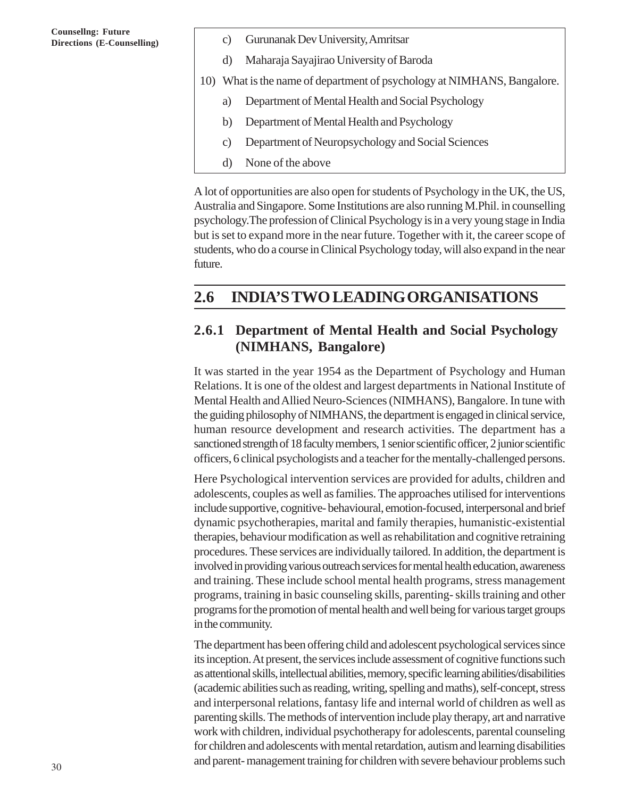- **Directions (E-Counselling)** c) Gurunanak Dev University, Amritsar
	- d) Maharaja Sayajirao University of Baroda
	- 10) What is the name of department of psychology at NIMHANS, Bangalore.
		- a) Department of Mental Health and Social Psychology
		- b) Department of Mental Health and Psychology
		- c) Department of Neuropsychology and Social Sciences
		- d) None of the above

A lot of opportunities are also open for students of Psychology in the UK, the US, Australia and Singapore. Some Institutions are also running M.Phil. in counselling psychology.The profession of Clinical Psychology is in a very young stage in India but is set to expand more in the near future. Together with it, the career scope of students, who do a course in Clinical Psychology today, will also expand in the near future.

### **2.6 INDIA'S TWO LEADING ORGANISATIONS**

#### **2.6.1 Department of Mental Health and Social Psychology (NIMHANS, Bangalore)**

It was started in the year 1954 as the Department of Psychology and Human Relations. It is one of the oldest and largest departments in National Institute of Mental Health and Allied Neuro-Sciences (NIMHANS), Bangalore. In tune with the guiding philosophy of NIMHANS, the department is engaged in clinical service, human resource development and research activities. The department has a sanctioned strength of 18 faculty members, 1 senior scientific officer, 2 junior scientific officers, 6 clinical psychologists and a teacher for the mentally-challenged persons.

Here Psychological intervention services are provided for adults, children and adolescents, couples as well as families. The approaches utilised for interventions include supportive, cognitive- behavioural, emotion-focused, interpersonal and brief dynamic psychotherapies, marital and family therapies, humanistic-existential therapies, behaviour modification as well as rehabilitation and cognitive retraining procedures. These services are individually tailored. In addition, the department is involved in providing various outreach services for mental health education, awareness and training. These include school mental health programs, stress management programs, training in basic counseling skills, parenting- skills training and other programs for the promotion of mental health and well being for various target groups in the community.

The department has been offering child and adolescent psychological services since its inception. At present, the services include assessment of cognitive functions such as attentional skills, intellectual abilities, memory, specific learning abilities/disabilities (academic abilities such as reading, writing, spelling and maths), self-concept, stress and interpersonal relations, fantasy life and internal world of children as well as parenting skills. The methods of intervention include play therapy, art and narrative work with children, individual psychotherapy for adolescents, parental counseling for children and adolescents with mental retardation, autism and learning disabilities and parent- management training for children with severe behaviour problems such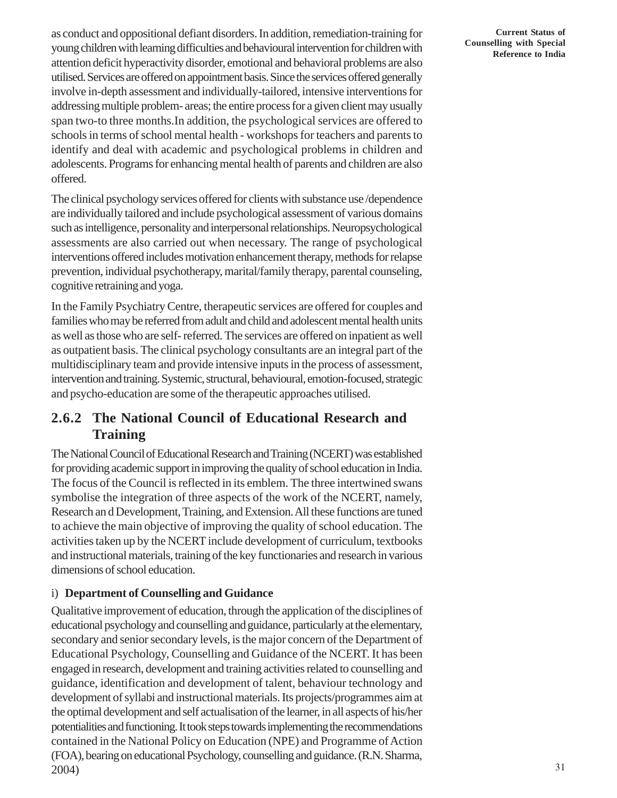as conduct and oppositional defiant disorders. In addition, remediation-training for young children with learning difficulties and behavioural intervention for children with attention deficit hyperactivity disorder, emotional and behavioral problems are also utilised. Services are offered on appointment basis. Since the services offered generally involve in-depth assessment and individually-tailored, intensive interventions for addressing multiple problem- areas; the entire process for a given client may usually span two-to three months.In addition, the psychological services are offered to schools in terms of school mental health - workshops for teachers and parents to identify and deal with academic and psychological problems in children and adolescents. Programs for enhancing mental health of parents and children are also offered.

The clinical psychology services offered for clients with substance use /dependence are individually tailored and include psychological assessment of various domains such as intelligence, personality and interpersonal relationships. Neuropsychological assessments are also carried out when necessary. The range of psychological interventions offered includes motivation enhancement therapy, methods for relapse prevention, individual psychotherapy, marital/family therapy, parental counseling, cognitive retraining and yoga.

In the Family Psychiatry Centre, therapeutic services are offered for couples and families who may be referred from adult and child and adolescent mental health units as well as those who are self- referred. The services are offered on inpatient as well as outpatient basis. The clinical psychology consultants are an integral part of the multidisciplinary team and provide intensive inputs in the process of assessment, intervention and training. Systemic, structural, behavioural, emotion-focused, strategic and psycho-education are some of the therapeutic approaches utilised.

### **2.6.2 The National Council of Educational Research and Training**

The National Council of Educational Research and Training (NCERT) was established for providing academic support in improving the quality of school education in India. The focus of the Council is reflected in its emblem. The three intertwined swans symbolise the integration of three aspects of the work of the NCERT, namely, Research an d Development, Training, and Extension. All these functions are tuned to achieve the main objective of improving the quality of school education. The activities taken up by the NCERT include development of curriculum, textbooks and instructional materials, training of the key functionaries and research in various dimensions of school education.

#### i) **Department of Counselling and Guidance**

Qualitative improvement of education, through the application of the disciplines of educational psychology and counselling and guidance, particularly at the elementary, secondary and senior secondary levels, is the major concern of the Department of Educational Psychology, Counselling and Guidance of the NCERT. It has been engaged in research, development and training activities related to counselling and guidance, identification and development of talent, behaviour technology and development of syllabi and instructional materials. Its projects/programmes aim at the optimal development and self actualisation of the learner, in all aspects of his/her potentialities and functioning. It took steps towards implementing the recommendations contained in the National Policy on Education (NPE) and Programme of Action (FOA), bearing on educational Psychology, counselling and guidance. (R.N. Sharma, 2004)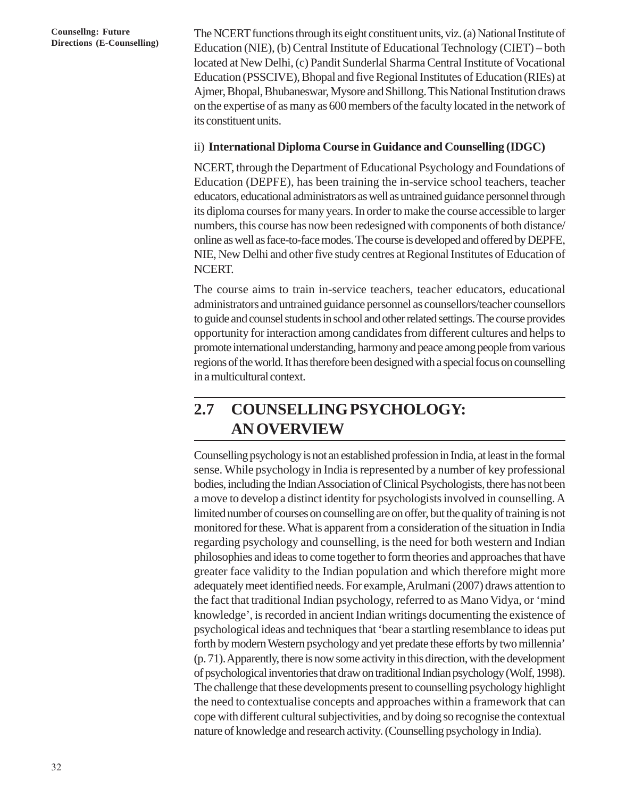**Directions (E-Counselling)** The NCERT functions through its eight constituent units, viz. (a) National Institute of Directions (E-Counselling) Education (NIE) (b) Control Institute of Educational Technology (CIET), both Education (NIE), (b) Central Institute of Educational Technology (CIET) – both located at New Delhi, (c) Pandit Sunderlal Sharma Central Institute of Vocational Education (PSSCIVE), Bhopal and five Regional Institutes of Education (RIEs) at Ajmer, Bhopal, Bhubaneswar, Mysore and Shillong. This National Institution draws on the expertise of as many as 600 members of the faculty located in the network of its constituent units.

#### ii) **International Diploma Course in Guidance and Counselling (IDGC)**

NCERT, through the Department of Educational Psychology and Foundations of Education (DEPFE), has been training the in-service school teachers, teacher educators, educational administrators as well as untrained guidance personnel through its diploma courses for many years. In order to make the course accessible to larger numbers, this course has now been redesigned with components of both distance/ online as well as face-to-face modes. The course is developed and offered by DEPFE, NIE, New Delhi and other five study centres at Regional Institutes of Education of NCERT.

The course aims to train in-service teachers, teacher educators, educational administrators and untrained guidance personnel as counsellors/teacher counsellors to guide and counsel students in school and other related settings. The course provides opportunity for interaction among candidates from different cultures and helps to promote international understanding, harmony and peace among people from various regions of the world. It has therefore been designed with a special focus on counselling in a multicultural context.

# **2.7 COUNSELLING PSYCHOLOGY: AN OVERVIEW**

Counselling psychology is not an established profession in India, at least in the formal sense. While psychology in India is represented by a number of key professional bodies, including the Indian Association of Clinical Psychologists, there has not been a move to develop a distinct identity for psychologists involved in counselling. A limited number of courses on counselling are on offer, but the quality of training is not monitored for these. What is apparent from a consideration of the situation in India regarding psychology and counselling, is the need for both western and Indian philosophies and ideas to come together to form theories and approaches that have greater face validity to the Indian population and which therefore might more adequately meet identified needs. For example, Arulmani (2007) draws attention to the fact that traditional Indian psychology, referred to as Mano Vidya, or 'mind knowledge', is recorded in ancient Indian writings documenting the existence of psychological ideas and techniques that 'bear a startling resemblance to ideas put forth by modern Western psychology and yet predate these efforts by two millennia' (p. 71). Apparently, there is now some activity in this direction, with the development of psychological inventories that draw on traditional Indian psychology (Wolf, 1998). The challenge that these developments present to counselling psychology highlight the need to contextualise concepts and approaches within a framework that can cope with different cultural subjectivities, and by doing so recognise the contextual nature of knowledge and research activity. (Counselling psychology in India).